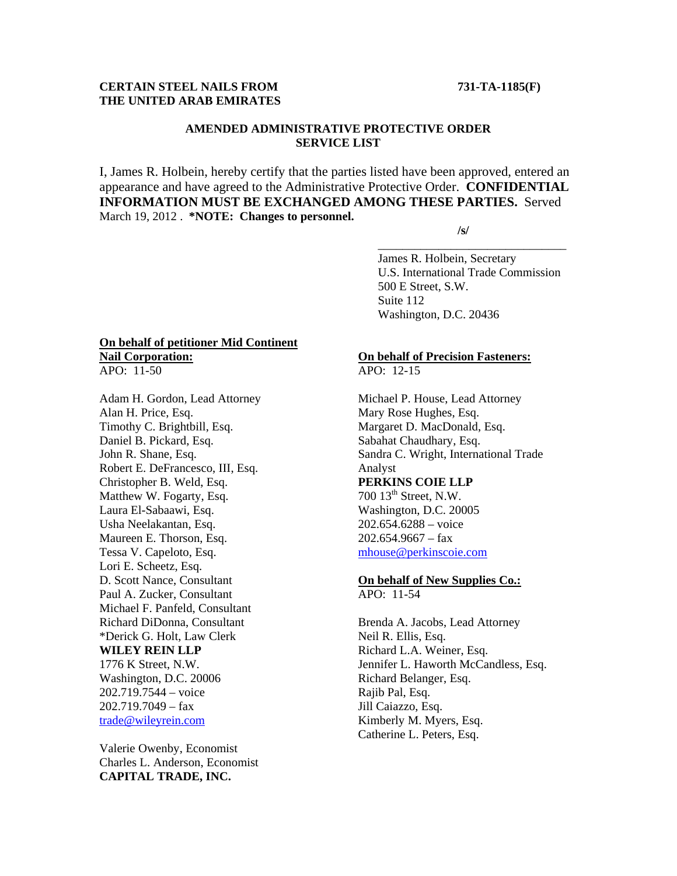# **CERTAIN STEEL NAILS FROM 731-TA-1185(F) THE UNITED ARAB EMIRATES**

# **AMENDED ADMINISTRATIVE PROTECTIVE ORDER SERVICE LIST**

I, James R. Holbein, hereby certify that the parties listed have been approved, entered an appearance and have agreed to the Administrative Protective Order. **CONFIDENTIAL INFORMATION MUST BE EXCHANGED AMONG THESE PARTIES.** Served March 19, 2012 . **\*NOTE: Changes to personnel.** 

 $\overline{\phantom{a}}$  , and the contract of the contract of the contract of the contract of the contract of the contract of the contract of the contract of the contract of the contract of the contract of the contract of the contrac

 **/s/** 

 James R. Holbein, Secretary U.S. International Trade Commission 500 E Street, S.W. Suite 112 Washington, D.C. 20436

# **On behalf of petitioner Mid Continent Nail Corporation:**

APO: 11-50

Adam H. Gordon, Lead Attorney Alan H. Price, Esq. Timothy C. Brightbill, Esq. Daniel B. Pickard, Esq. John R. Shane, Esq. Robert E. DeFrancesco, III, Esq. Christopher B. Weld, Esq. Matthew W. Fogarty, Esq. Laura El-Sabaawi, Esq. Usha Neelakantan, Esq. Maureen E. Thorson, Esq. Tessa V. Capeloto, Esq. Lori E. Scheetz, Esq. D. Scott Nance, Consultant Paul A. Zucker, Consultant Michael F. Panfeld, Consultant Richard DiDonna, Consultant \*Derick G. Holt, Law Clerk **WILEY REIN LLP** 1776 K Street, N.W. Washington, D.C. 20006 202.719.7544 – voice 202.719.7049 – fax trade@wileyrein.com

Valerie Owenby, Economist Charles L. Anderson, Economist **CAPITAL TRADE, INC.** 

### **On behalf of Precision Fasteners:** APO: 12-15

Michael P. House, Lead Attorney Mary Rose Hughes, Esq. Margaret D. MacDonald, Esq. Sabahat Chaudhary, Esq. Sandra C. Wright, International Trade Analyst **PERKINS COIE LLP** 700 13<sup>th</sup> Street, N.W. Washington, D.C. 20005 202.654.6288 – voice  $202.654.9667 - fax$ 

mhouse@perkinscoie.com

#### **On behalf of New Supplies Co.:** APO: 11-54

Brenda A. Jacobs, Lead Attorney Neil R. Ellis, Esq. Richard L.A. Weiner, Esq. Jennifer L. Haworth McCandless, Esq. Richard Belanger, Esq. Rajib Pal, Esq. Jill Caiazzo, Esq. Kimberly M. Myers, Esq. Catherine L. Peters, Esq.